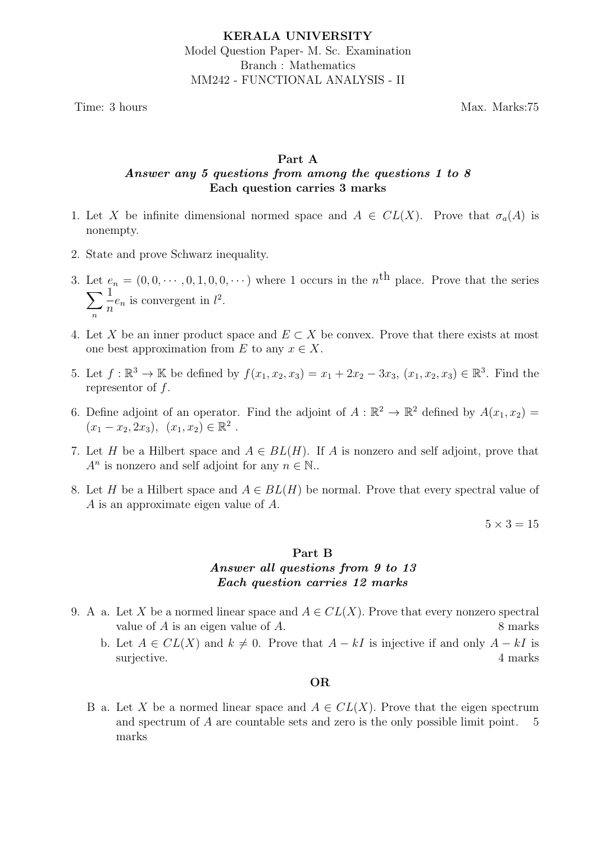Time: 3 hours Max. Marks:75

# Part A Answer any 5 questions from among the questions 1 to 8 Each question carries 3 marks

- 1. Let X be infinite dimensional normed space and  $A \in CL(X)$ . Prove that  $\sigma_a(A)$  is nonempty.
- 2. State and prove Schwarz inequality.
- 3. Let  $e_n = (0, 0, \dots, 0, 1, 0, 0, \dots)$  where 1 occurs in the n<sup>th</sup> place. Prove that the series  $\sum$ n 1  $\frac{1}{n}e_n$  is convergent in  $l^2$ .
- 4. Let X be an inner product space and  $E \subset X$  be convex. Prove that there exists at most one best approximation from E to any  $x \in X$ .
- 5. Let  $f : \mathbb{R}^3 \to \mathbb{K}$  be defined by  $f(x_1, x_2, x_3) = x_1 + 2x_2 3x_3, (x_1, x_2, x_3) \in \mathbb{R}^3$ . Find the representor of f.
- 6. Define adjoint of an operator. Find the adjoint of  $A : \mathbb{R}^2 \to \mathbb{R}^2$  defined by  $A(x_1, x_2) =$  $(x_1 - x_2, 2x_3), (x_1, x_2) \in \mathbb{R}^2$ .
- 7. Let H be a Hilbert space and  $A \in BL(H)$ . If A is nonzero and self adjoint, prove that  $A^n$  is nonzero and self adjoint for any  $n \in \mathbb{N}$ .
- 8. Let H be a Hilbert space and  $A \in BL(H)$  be normal. Prove that every spectral value of A is an approximate eigen value of A.

 $5 \times 3 = 15$ 

# Part B Answer all questions from 9 to 13 Each question carries 12 marks

- 9. A a. Let X be a normed linear space and  $A \in CL(X)$ . Prove that every nonzero spectral value of  $A$  is an eigen value of  $A$ . 8 marks
	- b. Let  $A \in CL(X)$  and  $k \neq 0$ . Prove that  $A kI$  is injective if and only  $A kI$  is surjective. 4 marks 2008 and 2008 and 2008 and 2008 and 2008 and 2008 and 2008 and 2008 and 2008 and 2008 and 2008 and 2008 and 2008 and 2008 and 2008 and 2008 and 2008 and 2008 and 2008 and 2008 and 2008 and 2008 and 2008

## OR

B a. Let X be a normed linear space and  $A \in CL(X)$ . Prove that the eigen spectrum and spectrum of A are countable sets and zero is the only possible limit point. 5 marks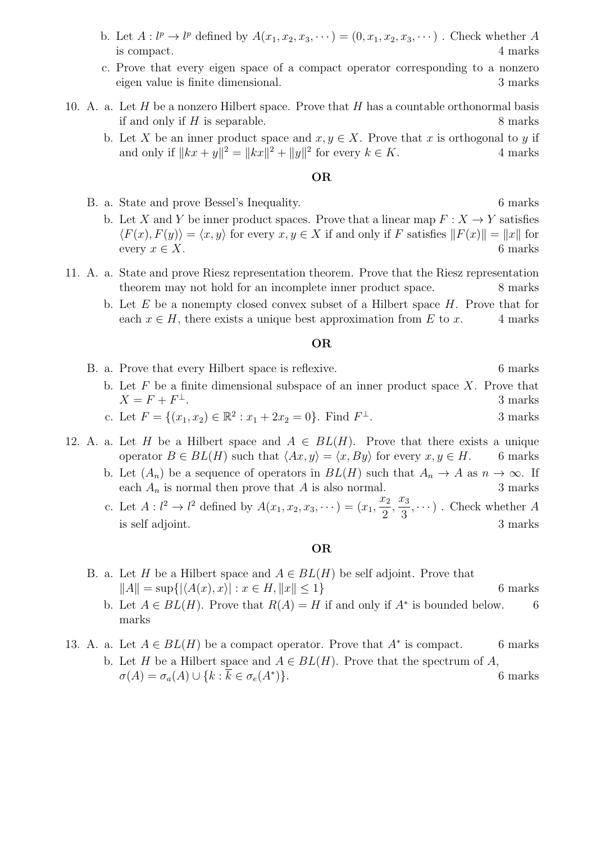- b. Let  $A: l^p \to l^p$  defined by  $A(x_1, x_2, x_3, \dots) = (0, x_1, x_2, x_3, \dots)$ . Check whether A is compact. 4 marks
- c. Prove that every eigen space of a compact operator corresponding to a nonzero eigen value is finite dimensional. 3 marks
- 10. A. a. Let  $H$  be a nonzero Hilbert space. Prove that  $H$  has a countable orthonormal basis if and only if  $H$  is separable.  $\qquad \qquad 8 \text{ marks}$ 
	- b. Let X be an inner product space and  $x, y \in X$ . Prove that x is orthogonal to y if and only if  $||kx + y||^2 = ||kx||^2 + ||y||^2$  for every  $k \in K$ . 4 marks

### OR

- B. a. State and prove Bessel's Inequality. 6 marks
	- b. Let X and Y be inner product spaces. Prove that a linear map  $F: X \to Y$  satisfies  $\langle F(x), F(y)\rangle = \langle x, y\rangle$  for every  $x, y \in X$  if and only if F satisfies  $||F(x)|| = ||x||$  for every  $x \in X$ . 6 marks
- 11. A. a. State and prove Riesz representation theorem. Prove that the Riesz representation theorem may not hold for an incomplete inner product space. 8 marks
	- b. Let  $E$  be a nonempty closed convex subset of a Hilbert space  $H$ . Prove that for each  $x \in H$ , there exists a unique best approximation from E to x. 4 marks

#### OR

B. a. Prove that every Hilbert space is reflexive. 6 marks b. Let  $F$  be a finite dimensional subspace of an inner product space  $X$ . Prove that  $X = F + F^{\perp}.$  $\perp$ . 3 marks

c. Let 
$$
F = \{(x_1, x_2) \in \mathbb{R}^2 : x_1 + 2x_2 = 0\}
$$
. Find  $F^{\perp}$ . 3 marks

- 12. A. a. Let H be a Hilbert space and  $A \in BL(H)$ . Prove that there exists a unique operator  $B \in BL(H)$  such that  $\langle Ax, y \rangle = \langle x, By \rangle$  for every  $x, y \in H$ . 6 marks
	- b. Let  $(A_n)$  be a sequence of operators in  $BL(H)$  such that  $A_n \to A$  as  $n \to \infty$ . If each  $A_n$  is normal then prove that A is also normal. 3 marks
	- c. Let  $A: l^2 \to l^2$  defined by  $A(x_1, x_2, x_3, \dots) = (x_1, \frac{x_2}{2})$ 2  $\frac{x_3}{2}$ 3  $, \dots$ ). Check whether A is self adjoint. 3 marks

#### OR

- B. a. Let H be a Hilbert space and  $A \in BL(H)$  be self adjoint. Prove that  $||A|| = \sup\{|\langle A(x), x\rangle| : x \in H, ||x|| \le 1\}$  6 marks
	- b. Let  $A \in BL(H)$ . Prove that  $R(A) = H$  if and only if  $A^*$  is bounded below. 6 marks
- 13. A. a. Let  $A \in BL(H)$  be a compact operator. Prove that  $A^*$  is compact. 6 marks
	- b. Let H be a Hilbert space and  $A \in BL(H)$ . Prove that the spectrum of A,  $\sigma(A) = \sigma_a(A) \cup \{k : \overline{k} \in \sigma_e(A^*)\}.$ )}. 6 marks